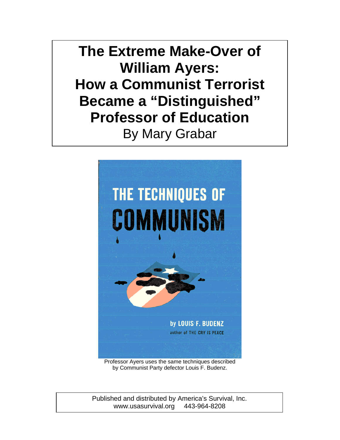**The Extreme Make-Over of William Ayers: How a Communist Terrorist Became a "Distinguished" Professor of Education**  By Mary Grabar



Professor Ayers uses the same techniques described by Communist Party defector Louis F. Budenz.

Published and distributed by America's Survival, Inc. www.usasurvival.org 443-964-8208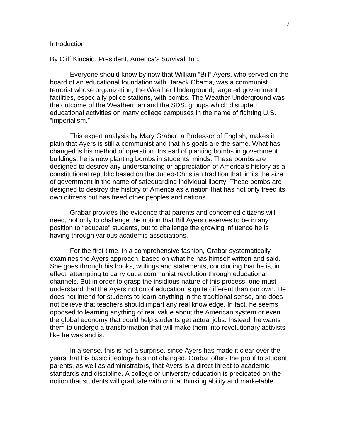#### **Introduction**

By Cliff Kincaid, President, America's Survival, Inc.

Everyone should know by now that William "Bill" Ayers, who served on the board of an educational foundation with Barack Obama, was a communist terrorist whose organization, the Weather Underground, targeted government facilities, especially police stations, with bombs. The Weather Underground was the outcome of the Weatherman and the SDS, groups which disrupted educational activities on many college campuses in the name of fighting U.S. "imperialism."

This expert analysis by Mary Grabar, a Professor of English, makes it plain that Ayers is still a communist and that his goals are the same. What has changed is his method of operation. Instead of planting bombs in government buildings, he is now planting bombs in students' minds. These bombs are designed to destroy any understanding or appreciation of America's history as a constitutional republic based on the Judeo-Christian tradition that limits the size of government in the name of safeguarding individual liberty. These bombs are designed to destroy the history of America as a nation that has not only freed its own citizens but has freed other peoples and nations.

Grabar provides the evidence that parents and concerned citizens will need, not only to challenge the notion that Bill Ayers deserves to be in any position to "educate" students, but to challenge the growing influence he is having through various academic associations.

For the first time, in a comprehensive fashion, Grabar systematically examines the Ayers approach, based on what he has himself written and said. She goes through his books, writings and statements, concluding that he is, in effect, attempting to carry out a communist revolution through educational channels. But in order to grasp the insidious nature of this process, one must understand that the Ayers notion of education is quite different than our own. He does not intend for students to learn anything in the traditional sense, and does not believe that teachers should impart any real knowledge. In fact, he seems opposed to learning anything of real value about the American system or even the global economy that could help students get actual jobs. Instead, he wants them to undergo a transformation that will make them into revolutionary activists like he was and is.

In a sense, this is not a surprise, since Ayers has made it clear over the years that his basic ideology has not changed. Grabar offers the proof to student parents, as well as administrators, that Ayers is a direct threat to academic standards and discipline. A college or university education is predicated on the notion that students will graduate with critical thinking ability and marketable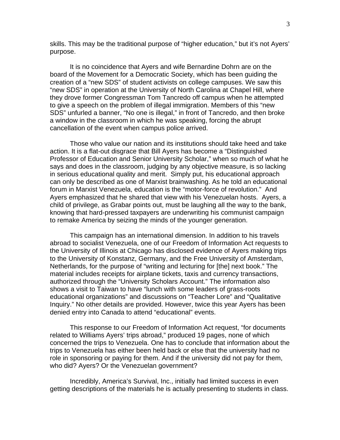skills. This may be the traditional purpose of "higher education," but it's not Ayers' purpose.

It is no coincidence that Ayers and wife Bernardine Dohrn are on the board of the Movement for a Democratic Society, which has been guiding the creation of a "new SDS" of student activists on college campuses. We saw this "new SDS" in operation at the University of North Carolina at Chapel Hill, where they drove former Congressman Tom Tancredo off campus when he attempted to give a speech on the problem of illegal immigration. Members of this "new SDS" unfurled a banner, "No one is illegal," in front of Tancredo, and then broke a window in the classroom in which he was speaking, forcing the abrupt cancellation of the event when campus police arrived.

Those who value our nation and its institutions should take heed and take action. It is a flat-out disgrace that Bill Ayers has become a "Distinguished Professor of Education and Senior University Scholar," when so much of what he says and does in the classroom, judging by any objective measure, is so lacking in serious educational quality and merit. Simply put, his educational approach can only be described as one of Marxist brainwashing. As he told an educational forum in Marxist Venezuela, education is the "motor-force of revolution." And Ayers emphasized that he shared that view with his Venezuelan hosts. Ayers, a child of privilege, as Grabar points out, must be laughing all the way to the bank, knowing that hard-pressed taxpayers are underwriting his communist campaign to remake America by seizing the minds of the younger generation.

This campaign has an international dimension. In addition to his travels abroad to socialist Venezuela, one of our Freedom of Information Act requests to the University of Illinois at Chicago has disclosed evidence of Ayers making trips to the University of Konstanz, Germany, and the Free University of Amsterdam, Netherlands, for the purpose of "writing and lecturing for [the] next book." The material includes receipts for airplane tickets, taxis and currency transactions, authorized through the "University Scholars Account." The information also shows a visit to Taiwan to have "lunch with some leaders of grass-roots educational organizations" and discussions on "Teacher Lore" and "Qualitative Inquiry." No other details are provided. However, twice this year Ayers has been denied entry into Canada to attend "educational" events.

This response to our Freedom of Information Act request, "for documents related to Williams Ayers' trips abroad," produced 19 pages, none of which concerned the trips to Venezuela. One has to conclude that information about the trips to Venezuela has either been held back or else that the university had no role in sponsoring or paying for them. And if the university did not pay for them, who did? Ayers? Or the Venezuelan government?

Incredibly, America's Survival, Inc., initially had limited success in even getting descriptions of the materials he is actually presenting to students in class.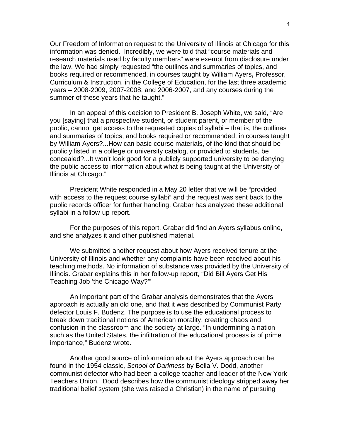Our Freedom of Information request to the University of Illinois at Chicago for this information was denied. Incredibly, we were told that "course materials and research materials used by faculty members" were exempt from disclosure under the law. We had simply requested "the outlines and summaries of topics, and books required or recommended, in courses taught by William Ayers**,** Professor, Curriculum & Instruction, in the College of Education, for the last three academic years – 2008-2009, 2007-2008, and 2006-2007, and any courses during the summer of these years that he taught."

In an appeal of this decision to President B. Joseph White, we said, "Are you [saying] that a prospective student, or student parent, or member of the public, cannot get access to the requested copies of syllabi – that is, the outlines and summaries of topics, and books required or recommended, in courses taught by William Ayers?...How can basic course materials, of the kind that should be publicly listed in a college or university catalog, or provided to students, be concealed?...It won't look good for a publicly supported university to be denying the public access to information about what is being taught at the University of Illinois at Chicago."

President White responded in a May 20 letter that we will be "provided with access to the request course syllabi" and the request was sent back to the public records officer for further handling. Grabar has analyzed these additional syllabi in a follow-up report.

 For the purposes of this report, Grabar did find an Ayers syllabus online, and she analyzes it and other published material.

We submitted another request about how Ayers received tenure at the University of Illinois and whether any complaints have been received about his teaching methods. No information of substance was provided by the University of Illinois. Grabar explains this in her follow-up report, "Did Bill Ayers Get His Teaching Job 'the Chicago Way?'"

 An important part of the Grabar analysis demonstrates that the Ayers approach is actually an old one, and that it was described by Communist Party defector Louis F. Budenz. The purpose is to use the educational process to break down traditional notions of American morality, creating chaos and confusion in the classroom and the society at large. "In undermining a nation such as the United States, the infiltration of the educational process is of prime importance," Budenz wrote.

 Another good source of information about the Ayers approach can be found in the 1954 classic, *School of Darkness* by Bella V. Dodd, another communist defector who had been a college teacher and leader of the New York Teachers Union. Dodd describes how the communist ideology stripped away her traditional belief system (she was raised a Christian) in the name of pursuing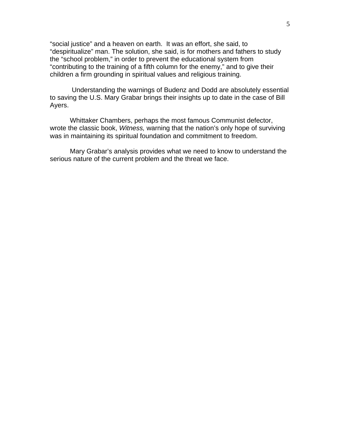"social justice" and a heaven on earth. It was an effort, she said, to "despiritualize" man. The solution, she said, is for mothers and fathers to study the "school problem," in order to prevent the educational system from "contributing to the training of a fifth column for the enemy," and to give their children a firm grounding in spiritual values and religious training.

 Understanding the warnings of Budenz and Dodd are absolutely essential to saving the U.S. Mary Grabar brings their insights up to date in the case of Bill Ayers.

Whittaker Chambers, perhaps the most famous Communist defector, wrote the classic book, *Witness,* warning that the nation's only hope of surviving was in maintaining its spiritual foundation and commitment to freedom.

Mary Grabar's analysis provides what we need to know to understand the serious nature of the current problem and the threat we face.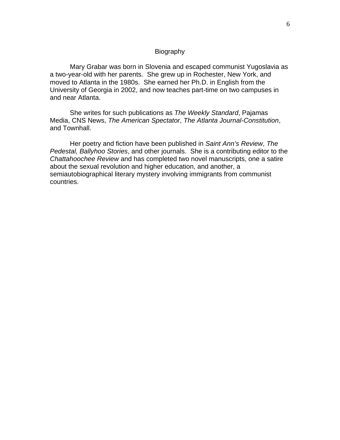# Biography

 Mary Grabar was born in Slovenia and escaped communist Yugoslavia as a two-year-old with her parents. She grew up in Rochester, New York, and moved to Atlanta in the 1980s. She earned her Ph.D. in English from the University of Georgia in 2002, and now teaches part-time on two campuses in and near Atlanta.

 She writes for such publications as *The Weekly Standard*, Pajamas Media, CNS News, *The American Spectator*, *The Atlanta Journal-Constitution*, and Townhall.

 Her poetry and fiction have been published in *Saint Ann's Review*, *The Pedestal, Ballyhoo Stories*, and other journals. She is a contributing editor to the *Chattahoochee Review* and has completed two novel manuscripts, one a satire about the sexual revolution and higher education, and another, a semiautobiographical literary mystery involving immigrants from communist countries.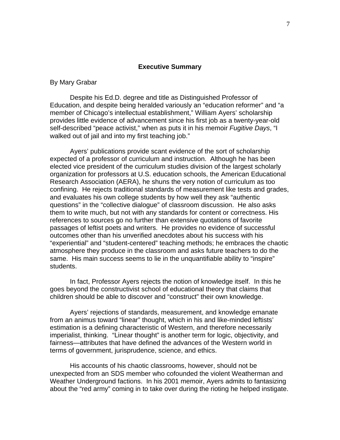# **Executive Summary**

# By Mary Grabar

 Despite his Ed.D. degree and title as Distinguished Professor of Education, and despite being heralded variously an "education reformer" and "a member of Chicago's intellectual establishment," William Ayers' scholarship provides little evidence of advancement since his first job as a twenty-year-old self-described "peace activist," when as puts it in his memoir *Fugitive Days*, "I walked out of jail and into my first teaching job."

 Ayers' publications provide scant evidence of the sort of scholarship expected of a professor of curriculum and instruction. Although he has been elected vice president of the curriculum studies division of the largest scholarly organization for professors at U.S. education schools, the American Educational Research Association (AERA), he shuns the very notion of curriculum as too confining. He rejects traditional standards of measurement like tests and grades, and evaluates his own college students by how well they ask "authentic questions" in the "collective dialogue" of classroom discussion. He also asks them to write much, but not with any standards for content or correctness. His references to sources go no further than extensive quotations of favorite passages of leftist poets and writers. He provides no evidence of successful outcomes other than his unverified anecdotes about his success with his "experiential" and "student-centered" teaching methods; he embraces the chaotic atmosphere they produce in the classroom and asks future teachers to do the same. His main success seems to lie in the unquantifiable ability to "inspire" students.

 In fact, Professor Ayers rejects the notion of knowledge itself. In this he goes beyond the constructivist school of educational theory that claims that children should be able to discover and "construct" their own knowledge.

 Ayers' rejections of standards, measurement, and knowledge emanate from an animus toward "linear" thought, which in his and like-minded leftists' estimation is a defining characteristic of Western, and therefore necessarily imperialist, thinking. "Linear thought" is another term for logic, objectivity, and fairness—attributes that have defined the advances of the Western world in terms of government, jurisprudence, science, and ethics.

 His accounts of his chaotic classrooms, however, should not be unexpected from an SDS member who cofounded the violent Weatherman and Weather Underground factions. In his 2001 memoir, Ayers admits to fantasizing about the "red army" coming in to take over during the rioting he helped instigate.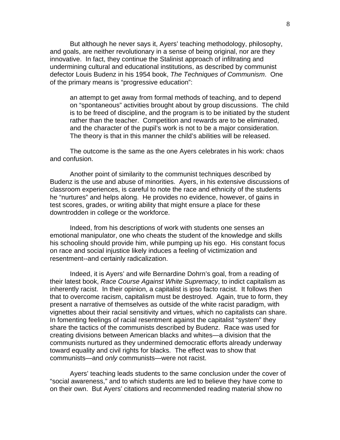But although he never says it, Ayers' teaching methodology, philosophy, and goals, are neither revolutionary in a sense of being original, nor are they innovative. In fact, they continue the Stalinist approach of infiltrating and undermining cultural and educational institutions, as described by communist defector Louis Budenz in his 1954 book, *The Techniques of Communism*. One of the primary means is "progressive education":

an attempt to get away from formal methods of teaching, and to depend on "spontaneous" activities brought about by group discussions. The child is to be freed of discipline, and the program is to be initiated by the student rather than the teacher. Competition and rewards are to be eliminated, and the character of the pupil's work is not to be a major consideration. The theory is that in this manner the child's abilities will be released.

The outcome is the same as the one Ayers celebrates in his work: chaos and confusion.

 Another point of similarity to the communist techniques described by Budenz is the use and abuse of minorities. Ayers, in his extensive discussions of classroom experiences, is careful to note the race and ethnicity of the students he "nurtures" and helps along. He provides no evidence, however, of gains in test scores, grades, or writing ability that might ensure a place for these downtrodden in college or the workforce.

 Indeed, from his descriptions of work with students one senses an emotional manipulator, one who cheats the student of the knowledge and skills his schooling should provide him, while pumping up his ego. His constant focus on race and social injustice likely induces a feeling of victimization and resentment--and certainly radicalization.

 Indeed, it is Ayers' and wife Bernardine Dohrn's goal, from a reading of their latest book, *Race Course Against White Supremacy*, to indict capitalism as inherently racist. In their opinion, a capitalist is ipso facto racist. It follows then that to overcome racism, capitalism must be destroyed. Again, true to form, they present a narrative of themselves as outside of the white racist paradigm, with vignettes about their racial sensitivity and virtues, which no capitalists can share. In fomenting feelings of racial resentment against the capitalist "system" they share the tactics of the communists described by Budenz. Race was used for creating divisions between American blacks and whites—a division that the communists nurtured as they undermined democratic efforts already underway toward equality and civil rights for blacks. The effect was to show that communists—and *only* communists—were not racist.

 Ayers' teaching leads students to the same conclusion under the cover of "social awareness," and to which students are led to believe they have come to on their own. But Ayers' citations and recommended reading material show no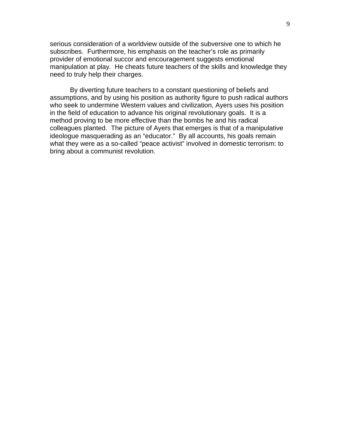serious consideration of a worldview outside of the subversive one to which he subscribes. Furthermore, his emphasis on the teacher's role as primarily provider of emotional succor and encouragement suggests emotional manipulation at play. He cheats future teachers of the skills and knowledge they need to truly help their charges.

By diverting future teachers to a constant questioning of beliefs and assumptions, and by using his position as authority figure to push radical authors who seek to undermine Western values and civilization, Ayers uses his position in the field of education to advance his original revolutionary goals. It is a method proving to be more effective than the bombs he and his radical colleagues planted. The picture of Ayers that emerges is that of a manipulative ideologue masquerading as an "educator." By all accounts, his goals remain what they were as a so-called "peace activist" involved in domestic terrorism: to bring about a communist revolution.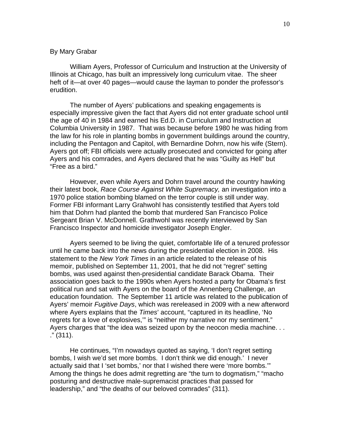## By Mary Grabar

William Ayers, Professor of Curriculum and Instruction at the University of Illinois at Chicago, has built an impressively long curriculum vitae. The sheer heft of it—at over 40 pages—would cause the layman to ponder the professor's erudition.

 The number of Ayers' publications and speaking engagements is especially impressive given the fact that Ayers did not enter graduate school until the age of 40 in 1984 and earned his Ed.D. in Curriculum and Instruction at Columbia University in 1987. That was because before 1980 he was hiding from the law for his role in planting bombs in government buildings around the country, including the Pentagon and Capitol, with Bernardine Dohrn, now his wife (Stern). Ayers got off; FBI officials were actually prosecuted and convicted for going after Ayers and his comrades, and Ayers declared that he was "Guilty as Hell" but "Free as a bird."

 However, even while Ayers and Dohrn travel around the country hawking their latest book, *Race Course Against White Supremacy,* an investigation into a 1970 police station bombing blamed on the terror couple is still under way. Former FBI informant Larry Grahwohl has consistently testified that Ayers told him that Dohrn had planted the bomb that murdered San Francisco Police Sergeant Brian V. McDonnell. Grathwohl was recently interviewed by San Francisco Inspector and homicide investigator Joseph Engler.

 Ayers seemed to be living the quiet, comfortable life of a tenured professor until he came back into the news during the presidential election in 2008. His statement to the *New York Times* in an article related to the release of his memoir, published on September 11, 2001, that he did not "regret" setting bombs, was used against then-presidential candidate Barack Obama. Their association goes back to the 1990s when Ayers hosted a party for Obama's first political run and sat with Ayers on the board of the Annenberg Challenge, an education foundation. The September 11 article was related to the publication of Ayers' memoir *Fugitive Days*, which was rereleased in 2009 with a new afterword where Ayers explains that the *Times*' account, "captured in its headline, 'No regrets for a love of explosives," is "neither my narrative nor my sentiment." Ayers charges that "the idea was seized upon by the neocon media machine. . . ." (311).

 He continues, "I'm nowadays quoted as saying, 'I don't regret setting bombs, I wish we'd set more bombs. I don't think we did enough.' I never actually said that I 'set bombs,' nor that I wished there were 'more bombs.'" Among the things he does admit regretting are "the turn to dogmatism," "macho posturing and destructive male-supremacist practices that passed for leadership," and "the deaths of our beloved comrades" (311).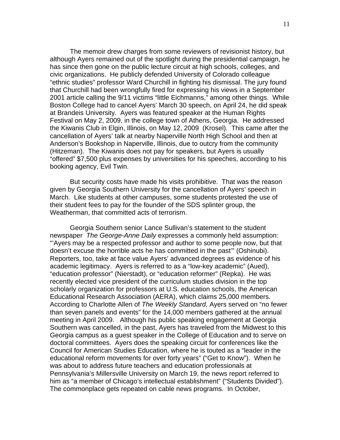The memoir drew charges from some reviewers of revisionist history, but although Ayers remained out of the spotlight during the presidential campaign, he has since then gone on the public lecture circuit at high schools, colleges, and civic organizations. He publicly defended University of Colorado colleague "ethnic studies" professor Ward Churchill in fighting his dismissal. The jury found that Churchill had been wrongfully fired for expressing his views in a September 2001 article calling the 9/11 victims "little Eichmanns," among other things. While Boston College had to cancel Ayers' March 30 speech, on April 24, he did speak at Brandeis University. Ayers was featured speaker at the Human Rights Festival on May 2, 2009, in the college town of Athens, Georgia. He addressed the Kiwanis Club in Elgin, Illinois, on May 12, 2009 (Krosel). This came after the cancellation of Ayers' talk at nearby Naperville North High School and then at Anderson's Bookshop in Naperville, Illinois, due to outcry from the community (Hitzeman). The Kiwanis does not pay for speakers, but Ayers is usually "offered" \$7,500 plus expenses by universities for his speeches, according to his booking agency, Evil Twin.

But security costs have made his visits prohibitive. That was the reason given by Georgia Southern University for the cancellation of Ayers' speech in March. Like students at other campuses, some students protested the use of their student fees to pay for the founder of the SDS splinter group, the Weatherman, that committed acts of terrorism.

Georgia Southern senior Lance Sullivan's statement to the student newspaper *The George-Anne Daily* expresses a commonly held assumption: "'Ayers may be a respected professor and author to some people now, but that doesn't excuse the horrible acts he has committed in the past'" (Oshinubi). Reporters, too, take at face value Ayers' advanced degrees as evidence of his academic legitimacy. Ayers is referred to as a "low-key academic" (Aued), "education professor" (Nierstadt), or "education reformer" (Repka). He was recently elected vice president of the curriculum studies division in the top scholarly organization for professors at U.S. education schools, the American Educational Research Association (AERA), which claims 25,000 members. According to Charlotte Allen of *The Weekly Standard*, Ayers served on "no fewer than seven panels and events" for the 14,000 members gathered at the annual meeting in April 2009. Although his public speaking engagement at Georgia Southern was cancelled, in the past, Ayers has traveled from the Midwest to this Georgia campus as a guest speaker in the College of Education and to serve on doctoral committees. Ayers does the speaking circuit for conferences like the Council for American Studies Education, where he is touted as a "leader in the educational reform movements for over forty years" ("Get to Know"). When he was about to address future teachers and education professionals at Pennsylvania's Millersville University on March 19, the news report referred to him as "a member of Chicago's intellectual establishment" ("Students Divided"). The commonplace gets repeated on cable news programs. In October,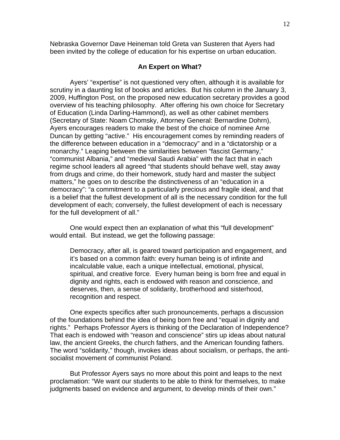Nebraska Governor Dave Heineman told Greta van Susteren that Ayers had been invited by the college of education for his expertise on urban education.

#### **An Expert on What?**

 Ayers' "expertise" is not questioned very often, although it is available for scrutiny in a daunting list of books and articles. But his column in the January 3, 2009, Huffington Post, on the proposed new education secretary provides a good overview of his teaching philosophy. After offering his own choice for Secretary of Education (Linda Darling-Hammond), as well as other cabinet members (Secretary of State: Noam Chomsky, Attorney General: Bernardine Dohrn), Ayers encourages readers to make the best of the choice of nominee Arne Duncan by getting "active." His encouragement comes by reminding readers of the difference between education in a "democracy" and in a "dictatorship or a monarchy." Leaping between the similarities between "fascist Germany," "communist Albania," and "medieval Saudi Arabia" with the fact that in each regime school leaders all agreed "that students should behave well, stay away from drugs and crime, do their homework, study hard and master the subject matters," he goes on to describe the distinctiveness of an "education in a democracy": "a commitment to a particularly precious and fragile ideal, and that is a belief that the fullest development of all is the necessary condition for the full development of each; conversely, the fullest development of each is necessary for the full development of all."

 One would expect then an explanation of what this "full development" would entail. But instead, we get the following passage:

Democracy, after all, is geared toward participation and engagement, and it's based on a common faith: every human being is of infinite and incalculable value, each a unique intellectual, emotional, physical, spiritual, and creative force. Every human being is born free and equal in dignity and rights, each is endowed with reason and conscience, and deserves, then, a sense of solidarity, brotherhood and sisterhood, recognition and respect.

One expects specifics after such pronouncements, perhaps a discussion of the foundations behind the idea of being born free and "equal in dignity and rights." Perhaps Professor Ayers is thinking of the Declaration of Independence? That each is endowed with "reason and conscience" stirs up ideas about natural law, the ancient Greeks, the church fathers, and the American founding fathers. The word "solidarity," though, invokes ideas about socialism, or perhaps, the antisocialist movement of communist Poland.

 But Professor Ayers says no more about this point and leaps to the next proclamation: "We want our students to be able to think for themselves, to make judgments based on evidence and argument, to develop minds of their own."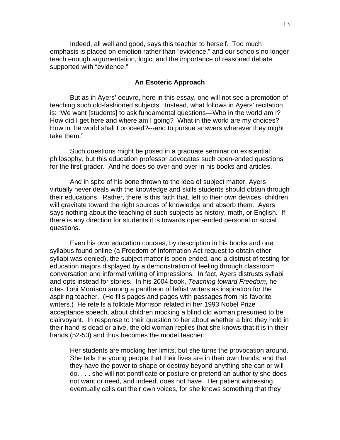Indeed, all well and good, says this teacher to herself. Too much emphasis is placed on emotion rather than "evidence," and our schools no longer teach enough argumentation, logic, and the importance of reasoned debate supported with "evidence."

# **An Esoteric Approach**

 But as in Ayers' oeuvre, here in this essay, one will not see a promotion of teaching such old-fashioned subjects. Instead, what follows in Ayers' recitation is: "We want [students] to ask fundamental questions—Who in the world am I? How did I get here and where am I going? What in the world are my choices? How in the world shall I proceed?---and to pursue answers wherever they might take them."

 Such questions might be posed in a graduate seminar on existential philosophy, but this education professor advocates such open-ended questions for the first-grader. And he does so over and over in his books and articles.

 And in spite of his bone thrown to the idea of subject matter, Ayers virtually never deals with the knowledge and skills students should obtain through their educations. Rather, there is this faith that, left to their own devices, children will gravitate toward the right sources of knowledge and absorb them. Ayers says nothing about the teaching of such subjects as history, math, or English. If there is any direction for students it is towards open-ended personal or social questions.

 Even his own education courses, by description in his books and one syllabus found online (a Freedom of Information Act request to obtain other syllabi was denied), the subject matter is open-ended, and a distrust of testing for education majors displayed by a demonstration of feeling through classroom conversation and informal writing of impressions. In fact, Ayers distrusts syllabi and opts instead for stories. In his 2004 book, *Teaching toward Freedom*, he cites Toni Morrison among a pantheon of leftist writers as inspiration for the aspiring teacher. (He fills pages and pages with passages from his favorite writers.) He retells a folktale Morrison related in her 1993 Nobel Prize acceptance speech, about children mocking a blind old woman presumed to be clairvoyant. In response to their question to her about whether a bird they hold in their hand is dead or alive, the old woman replies that she knows that it is in their hands (52-53) and thus becomes the model teacher:

Her students are mocking her limits, but she turns the provocation around. She tells the young people that their lives are in their own hands, and that they have the power to shape or destroy beyond anything she can or will do. . . . she will not pontificate or posture or pretend an authority she does not want or need, and indeed, does not have. Her patient witnessing eventually calls out their own voices, for she knows something that they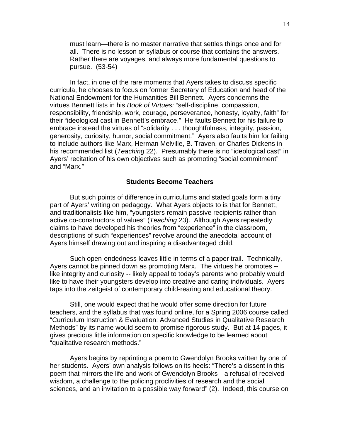must learn—there is no master narrative that settles things once and for all. There is no lesson or syllabus or course that contains the answers. Rather there are voyages, and always more fundamental questions to pursue. (53-54)

In fact, in one of the rare moments that Ayers takes to discuss specific curricula, he chooses to focus on former Secretary of Education and head of the National Endowment for the Humanities Bill Bennett.Ayers condemns the virtues Bennett lists in his *Book of Virtues:* "self-discipline, compassion, responsibility, friendship, work, courage, perseverance, honesty, loyalty, faith" for their "ideological cast in Bennett's embrace." He faults Bennett for his failure to embrace instead the virtues of "solidarity . . . thoughtfulness, integrity, passion, generosity, curiosity, humor, social commitment." Ayers also faults him for failing to include authors like Marx, Herman Melville, B. Traven, or Charles Dickens in his recommended list (*Teaching* 22). Presumably there is no "ideological cast" in Ayers' recitation of his own objectives such as promoting "social commitment" and "Marx."

#### **Students Become Teachers**

 But such points of difference in curriculums and stated goals form a tiny part of Ayers' writing on pedagogy. What Ayers objects to is that for Bennett, and traditionalists like him, "youngsters remain passive recipients rather than active co-constructors of values" (*Teaching* 23). Although Ayers repeatedly claims to have developed his theories from "experience" in the classroom, descriptions of such "experiences" revolve around the anecdotal account of Ayers himself drawing out and inspiring a disadvantaged child.

 Such open-endedness leaves little in terms of a paper trail. Technically, Ayers cannot be pinned down as promoting Marx. The virtues he promotes - like integrity and curiosity -- likely appeal to today's parents who probably would like to have their youngsters develop into creative and caring individuals. Ayers taps into the zeitgeist of contemporary child-rearing and educational theory.

 Still, one would expect that he would offer some direction for future teachers, and the syllabus that was found online, for a Spring 2006 course called "Curriculum Instruction & Evaluation: Advanced Studies in Qualitative Research Methods" by its name would seem to promise rigorous study. But at 14 pages, it gives precious little information on specific knowledge to be learned about "qualitative research methods."

 Ayers begins by reprinting a poem to Gwendolyn Brooks written by one of her students. Ayers' own analysis follows on its heels: "There's a dissent in this poem that mirrors the life and work of Gwendolyn Brooks—a refusal of received wisdom, a challenge to the policing proclivities of research and the social sciences, and an invitation to a possible way forward" (2). Indeed, this course on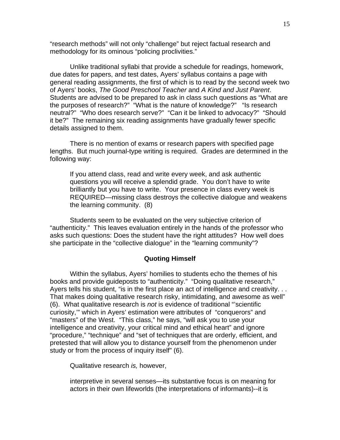"research methods" will not only "challenge" but reject factual research and methodology for its ominous "policing proclivities."

 Unlike traditional syllabi that provide a schedule for readings, homework, due dates for papers, and test dates, Ayers' syllabus contains a page with general reading assignments, the first of which is to read by the second week two of Ayers' books, *The Good Preschool Teacher* and *A Kind and Just Parent*. Students are advised to be prepared to ask in class such questions as "What are the purposes of research?" "What is the nature of knowledge?" "Is research neutral?" "Who does research serve?" "Can it be linked to advocacy?" "Should it be?" The remaining six reading assignments have gradually fewer specific details assigned to them.

 There is no mention of exams or research papers with specified page lengths. But much journal-type writing is required. Grades are determined in the following way:

If you attend class, read and write every week, and ask authentic questions you will receive a splendid grade. You don't have to write brilliantly but you have to write. Your presence in class every week is REQUIRED—missing class destroys the collective dialogue and weakens the learning community. (8)

Students seem to be evaluated on the very subjective criterion of "authenticity." This leaves evaluation entirely in the hands of the professor who asks such questions: Does the student have the right attitudes? How well does she participate in the "collective dialogue" in the "learning community"?

#### **Quoting Himself**

Within the syllabus, Ayers' homilies to students echo the themes of his books and provide guideposts to "authenticity." "Doing qualitative research," Ayers tells his student, "is in the first place an act of intelligence and creativity. . . That makes doing qualitative research risky, intimidating, and awesome as well" (6). What qualitative research is *not* is evidence of traditional "'scientific curiosity,'" which in Ayers' estimation were attributes of "conquerors" and "masters" of the West. "This class," he says, "will ask you to use your intelligence and creativity, your critical mind and ethical heart" and ignore "procedure," "technique" and "set of techniques that are orderly, efficient, and pretested that will allow you to distance yourself from the phenomenon under study or from the process of inquiry itself" (6).

Qualitative research *is,* however,

interpretive in several senses—its substantive focus is on meaning for actors in their own lifeworlds (the interpretations of informants)--it is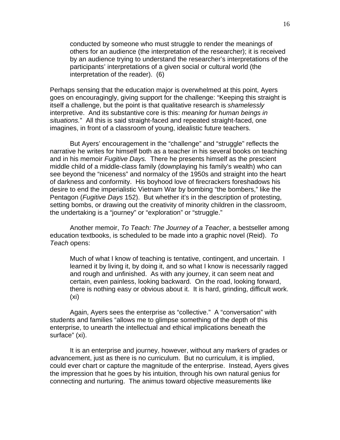conducted by someone who must struggle to render the meanings of others for an audience (the interpretation of the researcher); it is received by an audience trying to understand the researcher's interpretations of the participants' interpretations of a given social or cultural world (the interpretation of the reader). (6)

Perhaps sensing that the education major is overwhelmed at this point, Ayers goes on encouragingly, giving support for the challenge: "Keeping this straight is itself a challenge, but the point is that qualitative research is *shamelessly*  interpretive. And its substantive core is this: *meaning for human beings in situations.*" All this is said straight-faced and repeated straight-faced, one imagines, in front of a classroom of young, idealistic future teachers.

But Ayers' encouragement in the "challenge" and "struggle" reflects the narrative he writes for himself both as a teacher in his several books on teaching and in his memoir *Fugitive Days.* There he presents himself as the prescient middle child of a middle-class family (downplaying his family's wealth) who can see beyond the "niceness" and normalcy of the 1950s and straight into the heart of darkness and conformity. His boyhood love of firecrackers foreshadows his desire to end the imperialistic Vietnam War by bombing "the bombers," like the Pentagon (*Fugitive Days* 152). But whether it's in the description of protesting, setting bombs, or drawing out the creativity of minority children in the classroom, the undertaking is a "journey" or "exploration" or "struggle."

Another memoir, *To Teach: The Journey of a Teacher*, a bestseller among education textbooks, is scheduled to be made into a graphic novel (Reid). *To Teach* opens:

Much of what I know of teaching is tentative, contingent, and uncertain. I learned it by living it, by doing it, and so what I know is necessarily ragged and rough and unfinished. As with any journey, it can seem neat and certain, even painless, looking backward. On the road, looking forward, there is nothing easy or obvious about it. It is hard, grinding, difficult work. (xi)

Again, Ayers sees the enterprise as "collective." A "conversation" with students and families "allows me to glimpse something of the depth of this enterprise, to unearth the intellectual and ethical implications beneath the surface" (xi).

It is an enterprise and journey, however, without any markers of grades or advancement, just as there is no curriculum. But no curriculum, it is implied, could ever chart or capture the magnitude of the enterprise. Instead, Ayers gives the impression that he goes by his intuition, through his own natural genius for connecting and nurturing. The animus toward objective measurements like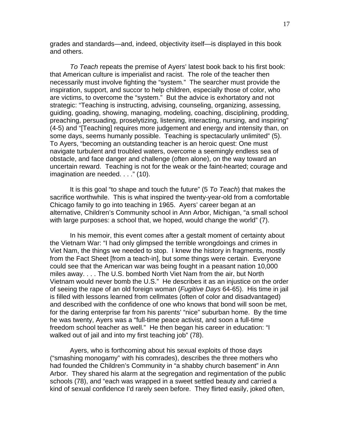grades and standards—and, indeed, objectivity itself—is displayed in this book and others.

*To Teach* repeats the premise of Ayers' latest book back to his first book: that American culture is imperialist and racist. The role of the teacher then necessarily must involve fighting the "system." The searcher must provide the inspiration, support, and succor to help children, especially those of color, who are victims, to overcome the "system." But the advice is exhortatory and not strategic: "Teaching is instructing, advising, counseling, organizing, assessing, guiding, goading, showing, managing, modeling, coaching, disciplining, prodding, preaching, persuading, proselytizing, listening, interacting, nursing, and inspiring" (4-5) and "[Teaching] requires more judgement and energy and intensity than, on some days, seems humanly possible. Teaching is spectacularly unlimited" (5). To Ayers, "becoming an outstanding teacher is an heroic quest: One must navigate turbulent and troubled waters, overcome a seemingly endless sea of obstacle, and face danger and challenge (often alone), on the way toward an uncertain reward. Teaching is not for the weak or the faint-hearted; courage and imagination are needed. . . ." (10).

 It is this goal "to shape and touch the future" (5 *To Teach*) that makes the sacrifice worthwhile. This is what inspired the twenty-year-old from a comfortable Chicago family to go into teaching in 1965. Ayers' career began at an alternative, Children's Community school in Ann Arbor, Michigan, "a small school with large purposes: a school that, we hoped, would change the world" (7).

 In his memoir, this event comes after a gestalt moment of certainty about the Vietnam War: "I had only glimpsed the terrible wrongdoings and crimes in Viet Nam, the things we needed to stop. I knew the history in fragments, mostly from the Fact Sheet [from a teach-in], but some things were certain. Everyone could see that the American war was being fought in a peasant nation 10,000 miles away. . . . The U.S. bombed North Viet Nam from the air, but North Vietnam would never bomb the U.S." He describes it as an injustice on the order of seeing the rape of an old foreign woman (*Fugitive Days* 64-65). His time in jail is filled with lessons learned from cellmates (often of color and disadvantaged) and described with the confidence of one who knows that bond will soon be met, for the daring enterprise far from his parents' "nice" suburban home. By the time he was twenty, Ayers was a "full-time peace activist, and soon a full-time freedom school teacher as well." He then began his career in education: "I walked out of jail and into my first teaching job" (78).

 Ayers, who is forthcoming about his sexual exploits of those days ("smashing monogamy" with his comrades), describes the three mothers who had founded the Children's Community in "a shabby church basement" in Ann Arbor. They shared his alarm at the segregation and regimentation of the public schools (78), and "each was wrapped in a sweet settled beauty and carried a kind of sexual confidence I'd rarely seen before. They flirted easily, joked often,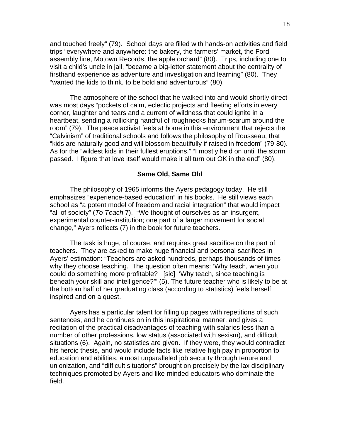and touched freely" (79). School days are filled with hands-on activities and field trips "everywhere and anywhere: the bakery, the farmers' market, the Ford assembly line, Motown Records, the apple orchard" (80). Trips, including one to visit a child's uncle in jail, "became a big-letter statement about the centrality of firsthand experience as adventure and investigation and learning" (80). They "wanted the kids to think, to be bold and adventurous" (80).

The atmosphere of the school that he walked into and would shortly direct was most days "pockets of calm, eclectic projects and fleeting efforts in every corner, laughter and tears and a current of wildness that could ignite in a heartbeat, sending a rollicking handful of roughnecks harum-scarum around the room" (79). The peace activist feels at home in this environment that rejects the "Calvinism" of traditional schools and follows the philosophy of Rousseau, that "kids are naturally good and will blossom beautifully if raised in freedom" (79-80). As for the "wildest kids in their fullest eruptions," "I mostly held on until the storm passed. I figure that love itself would make it all turn out OK in the end" (80).

### **Same Old, Same Old**

The philosophy of 1965 informs the Ayers pedagogy today. He still emphasizes "experience-based education" in his books. He still views each school as "a potent model of freedom and racial integration" that would impact "all of society" (*To Teach* 7). "We thought of ourselves as an insurgent, experimental counter-institution; one part of a larger movement for social change," Ayers reflects (7) in the book for future teachers.

 The task is huge, of course, and requires great sacrifice on the part of teachers. They are asked to make huge financial and personal sacrifices in Ayers' estimation: "Teachers are asked hundreds, perhaps thousands of times why they choose teaching. The question often means: 'Why teach, when you could do something more profitable? [sic] 'Why teach, since teaching is beneath your skill and intelligence?'" (5). The future teacher who is likely to be at the bottom half of her graduating class (according to statistics) feels herself inspired and on a quest.

 Ayers has a particular talent for filling up pages with repetitions of such sentences, and he continues on in this inspirational manner, and gives a recitation of the practical disadvantages of teaching with salaries less than a number of other professions, low status (associated with sexism), and difficult situations (6). Again, no statistics are given. If they were, they would contradict his heroic thesis, and would include facts like relative high pay in proportion to education and abilities, almost unparalleled job security through tenure and unionization, and "difficult situations" brought on precisely by the lax disciplinary techniques promoted by Ayers and like-minded educators who dominate the field.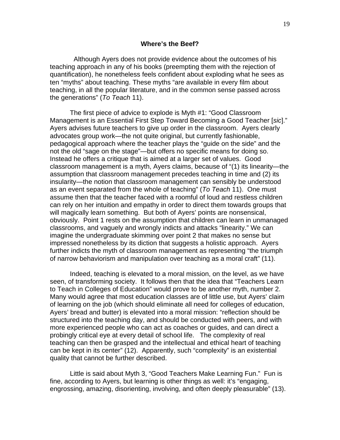Although Ayers does not provide evidence about the outcomes of his teaching approach in any of his books (preempting them with the rejection of quantification), he nonetheless feels confident about exploding what he sees as ten "myths" about teaching. These myths "are available in every film about teaching, in all the popular literature, and in the common sense passed across the generations" (*To Teach* 11).

 The first piece of advice to explode is Myth #1: "Good Classroom Management is an Essential First Step Toward Becoming a Good Teacher [*sic*]." Ayers advises future teachers to give up order in the classroom. Ayers clearly advocates group work—the not quite original, but currently fashionable, pedagogical approach where the teacher plays the "guide on the side" and the not the old "sage on the stage"—but offers no specific means for doing so. Instead he offers a critique that is aimed at a larger set of values. Good classroom management is a myth, Ayers claims, because of "(1) its linearity—the assumption that classroom management precedes teaching in time and (2) its insularity—the notion that classroom management can sensibly be understood as an event separated from the whole of teaching" (*To Teach* 11). One must assume then that the teacher faced with a roomful of loud and restless children can rely on her intuition and empathy in order to direct them towards groups that will magically learn something. But both of Ayers' points are nonsensical, obviously. Point 1 rests on the assumption that children can learn in unmanaged classrooms, and vaguely and wrongly indicts and attacks "linearity." We can imagine the undergraduate skimming over point 2 that makes no sense but impressed nonetheless by its diction that suggests a holistic approach. Ayers further indicts the myth of classroom management as representing "the triumph of narrow behaviorism and manipulation over teaching as a moral craft" (11).

 Indeed, teaching is elevated to a moral mission, on the level, as we have seen, of transforming society. It follows then that the idea that "Teachers Learn to Teach in Colleges of Education" would prove to be another myth, number 2. Many would agree that most education classes are of little use, but Ayers' claim of learning on the job (which should eliminate all need for colleges of education, Ayers' bread and butter) is elevated into a moral mission: "reflection should be structured into the teaching day, and should be conducted with peers, and with more experienced people who can act as coaches or guides, and can direct a probingly critical eye at every detail of school life. The complexity of real teaching can then be grasped and the intellectual and ethical heart of teaching can be kept in its center" (12). Apparently, such "complexity" is an existential quality that cannot be further described.

 Little is said about Myth 3, "Good Teachers Make Learning Fun." Fun is fine, according to Ayers, but learning is other things as well: it's "engaging, engrossing, amazing, disorienting, involving, and often deeply pleasurable" (13).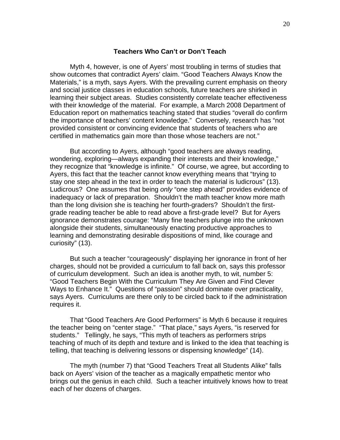#### **Teachers Who Can't or Don't Teach**

 Myth 4, however, is one of Ayers' most troubling in terms of studies that show outcomes that contradict Ayers' claim. "Good Teachers Always Know the Materials," is a myth, says Ayers. With the prevailing current emphasis on theory and social justice classes in education schools, future teachers are shirked in learning their subject areas. Studies consistently correlate teacher effectiveness with their knowledge of the material. For example, a March 2008 Department of Education report on mathematics teaching stated that studies "overall do confirm the importance of teachers' content knowledge." Conversely, research has "not provided consistent or convincing evidence that students of teachers who are certified in mathematics gain more than those whose teachers are not."

 But according to Ayers, although "good teachers are always reading, wondering, exploring—always expanding their interests and their knowledge," they recognize that "knowledge is infinite." Of course, we agree, but according to Ayers, this fact that the teacher cannot know everything means that "trying to stay one step ahead in the text in order to teach the material is ludicrous" (13). Ludicrous? One assumes that being *only* "one step ahead" provides evidence of inadequacy or lack of preparation. Shouldn't the math teacher know more math than the long division she is teaching her fourth-graders? Shouldn't the firstgrade reading teacher be able to read above a first-grade level? But for Ayers ignorance demonstrates courage: "Many fine teachers plunge into the unknown alongside their students, simultaneously enacting productive approaches to learning and demonstrating desirable dispositions of mind, like courage and curiosity" (13).

 But such a teacher "courageously" displaying her ignorance in front of her charges, should not be provided a curriculum to fall back on, says this professor of curriculum development. Such an idea is another myth, to wit, number 5: "Good Teachers Begin With the Curriculum They Are Given and Find Clever Ways to Enhance It." Questions of "passion" should dominate over practicality, says Ayers. Curriculums are there only to be circled back to if the administration requires it.

 That "Good Teachers Are Good Performers" is Myth 6 because it requires the teacher being on "center stage." "That place," says Ayers, "is reserved for students." Tellingly, he says, "This myth of teachers as performers strips teaching of much of its depth and texture and is linked to the idea that teaching is telling, that teaching is delivering lessons or dispensing knowledge" (14).

 The myth (number 7) that "Good Teachers Treat all Students Alike" falls back on Ayers' vision of the teacher as a magically empathetic mentor who brings out the genius in each child. Such a teacher intuitively knows how to treat each of her dozens of charges.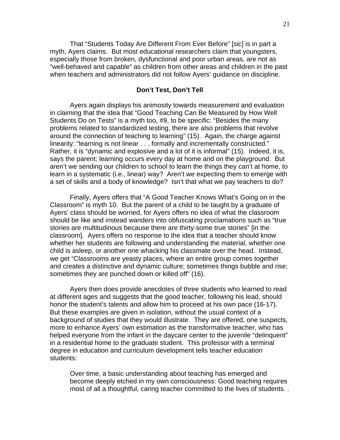That "Students Today Are Different From Ever Before" [*sic*] is in part a myth, Ayers claims. But most educational researchers claim that youngsters, especially those from broken, dysfunctional and poor urban areas, are not as "well-behaved and capable" as children from other areas and children in the past when teachers and administrators did not follow Ayers' guidance on discipline.

# **Don't Test, Don't Tell**

 Ayers again displays his animosity towards measurement and evaluation in claiming that the idea that "Good Teaching Can Be Measured by How Well Students Do on Tests" is a myth too, #9, to be specific: "Besides the many problems related to standardized testing, there are also problems that revolve around the connection of teaching to learning" (15). Again, the charge against linearity: "learning is not linear . . . formally and incrementally constructed." Rather, it is "dynamic and explosive and a lot of it is informal" (15). Indeed, it is, says the parent; learning occurs every day at home and on the playground. But aren't we sending our children to school to learn the things they can't at home, to learn in a systematic (i.e., linear) way? Aren't we expecting them to emerge with a set of skills and a body of knowledge? Isn't that what we pay teachers to do?

 Finally, Ayers offers that "A Good Teacher Knows What's Going on in the Classroom" is myth 10. But the parent of a child to be taught by a graduate of Ayers' class should be worried, for Ayers offers no idea of what the classroom should be like and instead wanders into obfuscating proclamations such as "true stories are multitudinous because there are thirty-some true stories" [in the classroom]. Ayers offers no response to the idea that a teacher should know whether her students are following and understanding the material, whether one child is asleep, or another one whacking his classmate over the head. Instead, we get "Classrooms are yeasty places, where an entire group comes together and creates a distinctive and dynamic culture; sometimes things bubble and rise; sometimes they are punched down or killed off" (16).

 Ayers then does provide anecdotes of three students who learned to read at different ages and suggests that the good teacher, following his lead, should honor the student's talents and allow him to proceed at his own pace (16-17). But these examples are given in isolation, without the usual context of a background of studies that they would illustrate. They are offered, one suspects, more to enhance Ayers' own estimation as the transformative teacher, who has helped everyone from the infant in the daycare center to the juvenile "delinquent" in a residential home to the graduate student. This professor with a terminal degree in education and curriculum development tells teacher education students:

Over time, a basic understanding about teaching has emerged and become deeply etched in my own consciousness: Good teaching requires most of all a thoughtful, caring teacher committed to the lives of students. .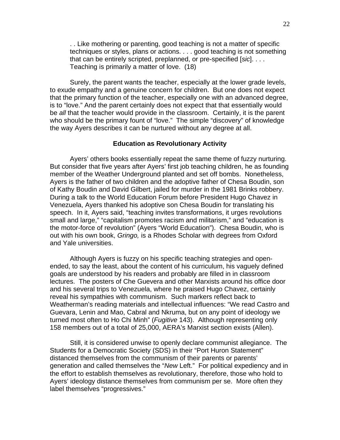. . Like mothering or parenting, good teaching is not a matter of specific techniques or styles, plans or actions. . . . good teaching is not something that can be entirely scripted, preplanned, or pre-specified [*sic*]. . . . Teaching is primarily a matter of love. (18)

 Surely, the parent wants the teacher, especially at the lower grade levels, to exude empathy and a genuine concern for children. But one does not expect that the primary function of the teacher, especially one with an advanced degree, is to "love." And the parent certainly does not expect that that essentially would be *all* that the teacher would provide in the classroom. Certainly, it is the parent who should be the primary fount of "love." The simple "discovery" of knowledge the way Ayers describes it can be nurtured without any degree at all.

# **Education as Revolutionary Activity**

 Ayers' others books essentially repeat the same theme of fuzzy nurturing. But consider that five years after Ayers' first job teaching children, he as founding member of the Weather Underground planted and set off bombs. Nonetheless, Ayers is the father of two children and the adoptive father of Chesa Boudin, son of Kathy Boudin and David Gilbert, jailed for murder in the 1981 Brinks robbery. During a talk to the World Education Forum before President Hugo Chavez in Venezuela, Ayers thanked his adoptive son Chesa Boudin for translating his speech. In it, Ayers said, "teaching invites transformations, it urges revolutions small and large," "capitalism promotes racism and militarism," and "education is the motor-force of revolution" (Ayers "World Education"). Chesa Boudin, who is out with his own book, *Gringo,* is a Rhodes Scholar with degrees from Oxford and Yale universities.

 Although Ayers is fuzzy on his specific teaching strategies and openended, to say the least, about the content of his curriculum, his vaguely defined goals are understood by his readers and probably are filled in in classroom lectures. The posters of Che Guevera and other Marxists around his office door and his several trips to Venezuela, where he praised Hugo Chavez, certainly reveal his sympathies with communism. Such markers reflect back to Weatherman's reading materials and intellectual influences: "We read Castro and Guevara, Lenin and Mao, Cabral and Nkruma, but on any point of ideology we turned most often to Ho Chi Minh" (*Fugitive* 143). Although representing only 158 members out of a total of 25,000, AERA's Marxist section exists (Allen).

Still, it is considered unwise to openly declare communist allegiance. The Students for a Democratic Society (SDS) in their "Port Huron Statement" distanced themselves from the communism of their parents or parents' generation and called themselves the "*New* Left." For political expediency and in the effort to establish themselves as revolutionary, therefore, those who hold to Ayers' ideology distance themselves from communism per se. More often they label themselves "progressives."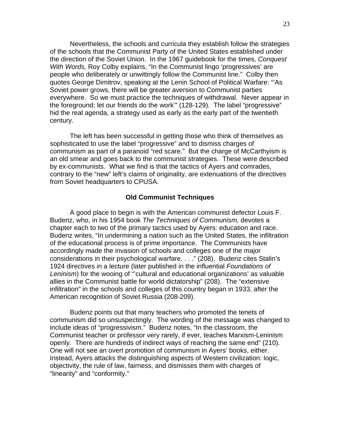Nevertheless, the schools and curricula they establish follow the strategies of the schools that the Communist Party of the United States established under the direction of the Soviet Union. In the 1967 guidebook for the times, *Conquest With Words,* Roy Colby explains, "In the Communist lingo 'progressives' are people who deliberately or unwittingly follow the Communist line." Colby then quotes George Dimitrov, speaking at the Lenin School of Political Warfare: "'As Soviet power grows, there will be greater aversion to Communist parties everywhere. So we must practice the techniques of withdrawal. Never appear in the foreground; let our friends do the work'" (128-129). The label "progressive" hid the real agenda, a strategy used as early as the early part of the twentieth century.

 The left has been successful in getting those who think of themselves as sophisticated to use the label "progressive" and to dismiss charges of communism as part of a paranoid "red scare." But the charge of McCarthyism is an old smear and goes back to the communist strategies. These were described by ex-communists. What we find is that the tactics of Ayers and comrades, contrary to the "new" left's claims of originality, are extenuations of the directives from Soviet headquarters to CPUSA.

#### **Old Communist Techniques**

 A good place to begin is with the American communist defector Louis F. Budenz, who, in his 1954 book *The Techniques of Communism,* devotes a chapter each to two of the primary tactics used by Ayers: education and race. Budenz writes, "In undermining a nation such as the United States, the infiltration of the educational process is of prime importance. The Communists have accordingly made the invasion of schools and colleges one of the major considerations in their psychological warfare. . . ." (208). Budenz cites Stalin's 1924 directives in a lecture (later published in the influential *Foundations of Leninism*) for the wooing of "'cultural and educational organizations' as valuable allies in the Communist battle for world dictatorship" (208). The "extensive infiltration" in the schools and colleges of this country began in 1933, after the American recognition of Soviet Russia (208-209).

 Budenz points out that many teachers who promoted the tenets of communism did so unsuspectingly. The wording of the message was changed to include ideas of "progressivism." Budenz notes, "In the classroom, the Communist teacher or professor very rarely, if ever, teaches Marxism-Leninism openly. There are hundreds of indirect ways of reaching the same end" (210). One will not see an overt promotion of communism in Ayers' books, either. Instead, Ayers attacks the distinguishing aspects of Western civilization: logic, objectivity, the rule of law, fairness, and dismisses them with charges of "linearity" and "conformity."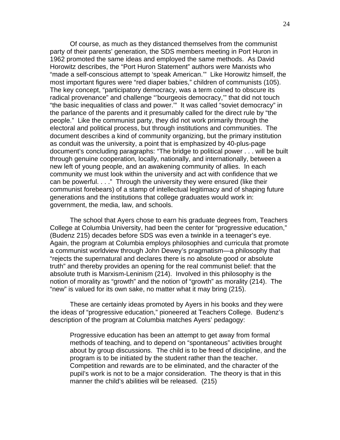Of course, as much as they distanced themselves from the communist party of their parents' generation, the SDS members meeting in Port Huron in 1962 promoted the same ideas and employed the same methods. As David Horowitz describes, the "Port Huron Statement" authors were Marxists who "made a self-conscious attempt to 'speak American.'" Like Horowitz himself, the most important figures were "red diaper babies," children of communists (105). The key concept, "participatory democracy, was a term coined to obscure its radical provenance" and challenge "'bourgeois democracy,'" that did not touch "the basic inequalities of class and power.'" It was called "soviet democracy" in the parlance of the parents and it presumably called for the direct rule by "the people." Like the communist party, they did not work primarily through the electoral and political process, but through institutions and communities. The document describes a kind of community organizing, but the primary institution as conduit was the university, a point that is emphasized by 40-plus-page document's concluding paragraphs: "The bridge to political power . . . will be built through genuine cooperation, locally, nationally, and internationally, between a new left of young people, and an awakening community of allies. In each community we must look within the university and act with confidence that we can be powerful. . . ." Through the university they were ensured (like their communist forebears) of a stamp of intellectual legitimacy and of shaping future generations and the institutions that college graduates would work in: government, the media, law, and schools.

 The school that Ayers chose to earn his graduate degrees from, Teachers College at Columbia University, had been the center for "progressive education," (Budenz 215) decades before SDS was even a twinkle in a teenager's eye. Again, the program at Columbia employs philosophies and curricula that promote a communist worldview through John Dewey's pragmatism—a philosophy that "rejects the supernatural and declares there is no absolute good or absolute truth" and thereby provides an opening for the real communist belief: that the absolute truth is Marxism-Leninism (214). Involved in this philosophy is the notion of morality as "growth" and the notion of "growth" as morality (214). The "new" is valued for its own sake, no matter what it may bring (215).

 These are certainly ideas promoted by Ayers in his books and they were the ideas of "progressive education," pioneered at Teachers College. Budenz's description of the program at Columbia matches Ayers' pedagogy:

Progressive education has been an attempt to get away from formal methods of teaching, and to depend on "spontaneous" activities brought about by group discussions. The child is to be freed of discipline, and the program is to be initiated by the student rather than the teacher. Competition and rewards are to be eliminated, and the character of the pupil's work is not to be a major consideration. The theory is that in this manner the child's abilities will be released. (215)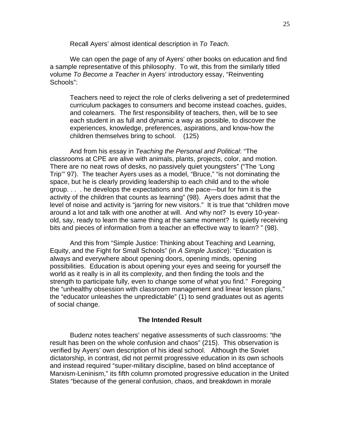Recall Ayers' almost identical description in *To Teach.* 

We can open the page of any of Ayers' other books on education and find a sample representative of this philosophy. To wit, this from the similarly titled volume *To Become a Teacher* in Ayers' introductory essay, "Reinventing Schools":

Teachers need to reject the role of clerks delivering a set of predetermined curriculum packages to consumers and become instead coaches, guides, and colearners. The first responsibility of teachers, then, will be to see each student in as full and dynamic a way as possible, to discover the experiences, knowledge, preferences, aspirations, and know-how the children themselves bring to school. (125)

 And from his essay in *Teaching the Personal and Political*: "The classrooms at CPE are alive with animals, plants, projects, color, and motion. There are no neat rows of desks, no passively quiet youngsters" ("The 'Long Trip'" 97). The teacher Ayers uses as a model, "Bruce," "is not dominating the space, but he is clearly providing leadership to each child and to the whole group. . . . he develops the expectations and the pace—but for him it is the activity of the children that counts as learning" (98). Ayers does admit that the level of noise and activity is "jarring for new visitors." It is true that "children move around a lot and talk with one another at will. And why not? Is every 10-yearold, say, ready to learn the same thing at the same moment? Is quietly receiving bits and pieces of information from a teacher an effective way to learn? " (98).

 And this from "Simple Justice: Thinking about Teaching and Learning, Equity, and the Fight for Small Schools" (in *A Simple Justice*): "Education is always and everywhere about opening doors, opening minds, opening possibilities. Education is about opening your eyes and seeing for yourself the world as it really is in all its complexity, and then finding the tools and the strength to participate fully, even to change some of what you find." Foregoing the "unhealthy obsession with classroom management and linear lesson plans," the "educator unleashes the unpredictable" (1) to send graduates out as agents of social change.

#### **The Intended Result**

 Budenz notes teachers' negative assessments of such classrooms: "the result has been on the whole confusion and chaos" (215). This observation is verified by Ayers' own description of his ideal school. Although the Soviet dictatorship, in contrast, did not permit progressive education in its own schools and instead required "super-military discipline, based on blind acceptance of Marxism-Leninism," its fifth column promoted progressive education in the United States "because of the general confusion, chaos, and breakdown in morale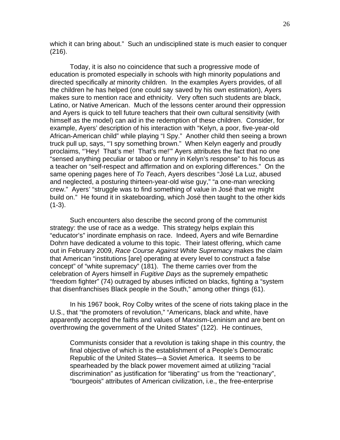which it can bring about." Such an undisciplined state is much easier to conquer (216).

 Today, it is also no coincidence that such a progressive mode of education is promoted especially in schools with high minority populations and directed specifically *at* minority children. In the examples Ayers provides, of all the children he has helped (one could say saved by his own estimation), Ayers makes sure to mention race and ethnicity. Very often such students are black, Latino, or Native American. Much of the lessons center around their oppression and Ayers is quick to tell future teachers that their own cultural sensitivity (with himself as the model) can aid in the redemption of these children. Consider, for example, Ayers' description of his interaction with "Kelyn, a poor, five-year-old African-American child" while playing "I Spy." Another child then seeing a brown truck pull up, says, "'I spy something brown." When Kelyn eagerly and proudly proclaims, "'Hey! That's me! That's me!'" Ayers attributes the fact that no one "sensed anything peculiar or taboo or funny in Kelyn's response" to his focus as a teacher on "self-respect and affirmation and on exploring differences." On the same opening pages here of *To Teach*, Ayers describes "José La Luz, abused and neglected, a posturing thirteen-year-old wise guy," "a one-man wrecking crew." Ayers' "struggle was to find something of value in José that we might build on." He found it in skateboarding, which José then taught to the other kids  $(1-3)$ .

 Such encounters also describe the second prong of the communist strategy: the use of race as a wedge. This strategy helps explain this "educator's" inordinate emphasis on race. Indeed, Ayers and wife Bernardine Dohrn have dedicated a volume to this topic. Their latest offering, which came out in February 2009, *Race Course Against White Supremacy* makes the claim that American "institutions [are] operating at every level to construct a false concept" of "white supremacy" (181). The theme carries over from the celebration of Ayers himself in *Fugitive Days* as the supremely empathetic "freedom fighter" (74) outraged by abuses inflicted on blacks, fighting a "system that disenfranchises Black people in the South," among other things (61).

 In his 1967 book, Roy Colby writes of the scene of riots taking place in the U.S., that "the promoters of revolution," "Americans, black and white, have apparently accepted the faiths and values of Marxism-Leninism and are bent on overthrowing the government of the United States" (122). He continues,

Communists consider that a revolution is taking shape in this country, the final objective of which is the establishment of a People's Democratic Republic of the United States—a Soviet America. It seems to be spearheaded by the black power movement aimed at utilizing "racial discrimination" as justification for "liberating" us from the "reactionary", "bourgeois" attributes of American civilization, i.e., the free-enterprise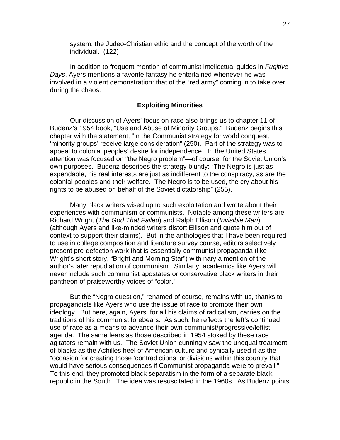system, the Judeo-Christian ethic and the concept of the worth of the individual. (122)

In addition to frequent mention of communist intellectual guides in *Fugitive Days*, Ayers mentions a favorite fantasy he entertained whenever he was involved in a violent demonstration: that of the "red army" coming in to take over during the chaos.

# **Exploiting Minorities**

Our discussion of Ayers' focus on race also brings us to chapter 11 of Budenz's 1954 book, "Use and Abuse of Minority Groups." Budenz begins this chapter with the statement, "In the Communist strategy for world conquest, 'minority groups' receive large consideration" (250). Part of the strategy was to appeal to colonial peoples' desire for independence. In the United States, attention was focused on "the Negro problem"—of course, for the Soviet Union's own purposes. Budenz describes the strategy bluntly: "The Negro is just as expendable, his real interests are just as indifferent to the conspiracy, as are the colonial peoples and their welfare. The Negro is to be used, the cry about his rights to be abused on behalf of the Soviet dictatorship" (255).

 Many black writers wised up to such exploitation and wrote about their experiences with communism or communists. Notable among these writers are Richard Wright (*The God That Failed*) and Ralph Ellison (*Invisible Man*) (although Ayers and like-minded writers distort Ellison and quote him out of context to support their claims). But in the anthologies that I have been required to use in college composition and literature survey course, editors selectively present pre-defection work that is essentially communist propaganda (like Wright's short story, "Bright and Morning Star") with nary a mention of the author's later repudiation of communism. Similarly, academics like Ayers will never include such communist apostates or conservative black writers in their pantheon of praiseworthy voices of "color."

 But the "Negro question," renamed of course, remains with us, thanks to propagandists like Ayers who use the issue of race to promote their own ideology. But here, again, Ayers, for all his claims of radicalism, carries on the traditions of his communist forebears. As such, he reflects the left's continued use of race as a means to advance their own communist/progressive/leftist agenda. The same fears as those described in 1954 stoked by these race agitators remain with us. The Soviet Union cunningly saw the unequal treatment of blacks as the Achilles heel of American culture and cynically used it as the "occasion for creating those 'contradictions' or divisions within this country that would have serious consequences if Communist propaganda were to prevail." To this end, they promoted black separatism in the form of a separate black republic in the South. The idea was resuscitated in the 1960s. As Budenz points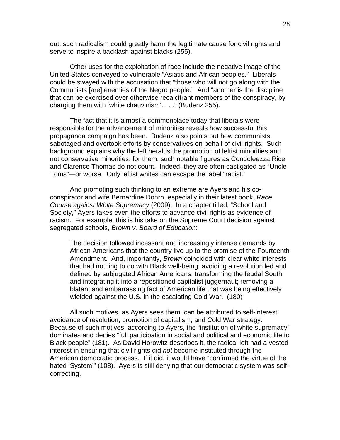out, such radicalism could greatly harm the legitimate cause for civil rights and serve to inspire a backlash against blacks (255).

 Other uses for the exploitation of race include the negative image of the United States conveyed to vulnerable "Asiatic and African peoples." Liberals could be swayed with the accusation that "those who will not go along with the Communists [are] enemies of the Negro people." And "another is the discipline that can be exercised over otherwise recalcitrant members of the conspiracy, by charging them with 'white chauvinism'. . . ." (Budenz 255).

 The fact that it is almost a commonplace today that liberals were responsible for the advancement of minorities reveals how successful this propaganda campaign has been. Budenz also points out how communists sabotaged and overtook efforts by conservatives on behalf of civil rights. Such background explains why the left heralds the promotion of leftist minorities and not conservative minorities; for them, such notable figures as Condoleezza Rice and Clarence Thomas do not count. Indeed, they are often castigated as "Uncle Toms"—or worse. Only leftist whites can escape the label "racist."

 And promoting such thinking to an extreme are Ayers and his coconspirator and wife Bernardine Dohrn, especially in their latest book, *Race Course against White Supremacy* (2009). In a chapter titled, "School and Society," Ayers takes even the efforts to advance civil rights as evidence of racism. For example, this is his take on the Supreme Court decision against segregated schools, *Brown v. Board of Education*:

The decision followed incessant and increasingly intense demands by African Americans that the country live up to the promise of the Fourteenth Amendment. And, importantly, *Brown* coincided with clear white interests that had nothing to do with Black well-being: avoiding a revolution led and defined by subjugated African Americans; transforming the feudal South and integrating it into a repositioned capitalist juggernaut; removing a blatant and embarrassing fact of American life that was being effectively wielded against the U.S. in the escalating Cold War. (180)

All such motives, as Ayers sees them, can be attributed to self-interest: avoidance of revolution, promotion of capitalism, and Cold War strategy. Because of such motives, according to Ayers, the "institution of white supremacy" dominates and denies "full participation in social and political and economic life to Black people" (181). As David Horowitz describes it, the radical left had a vested interest in ensuring that civil rights did *not* become instituted through the American democratic process. If it did, it would have "confirmed the virtue of the hated 'System'" (108). Ayers is still denying that our democratic system was selfcorrecting.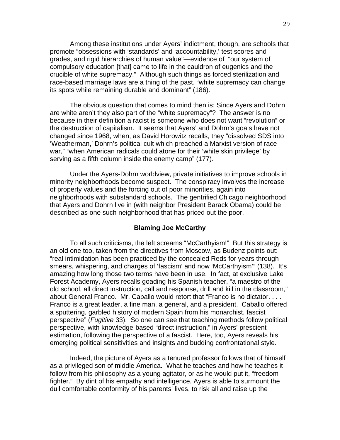Among these institutions under Ayers' indictment, though, are schools that promote "obsessions with 'standards' and 'accountability,' test scores and grades, and rigid hierarchies of human value"—evidence of "our system of compulsory education [that] came to life in the cauldron of eugenics and the crucible of white supremacy." Although such things as forced sterilization and race-based marriage laws are a thing of the past, "white supremacy can change its spots while remaining durable and dominant" (186).

 The obvious question that comes to mind then is: Since Ayers and Dohrn are white aren't they also part of the "white supremacy"? The answer is no because in their definition a racist is someone who does not want "revolution" or the destruction of capitalism. It seems that Ayers' and Dohrn's goals have not changed since 1968, when, as David Horowitz recalls, they "dissolved SDS into 'Weatherman,' Dohrn's political cult which preached a Marxist version of race war," "when American radicals could atone for their 'white skin privilege' by serving as a fifth column inside the enemy camp" (177).

 Under the Ayers-Dohrn worldview, private initiatives to improve schools in minority neighborhoods become suspect. The conspiracy involves the increase of property values and the forcing out of poor minorities, again into neighborhoods with substandard schools. The gentrified Chicago neighborhood that Ayers and Dohrn live in (with neighbor President Barack Obama) could be described as one such neighborhood that has priced out the poor.

## **Blaming Joe McCarthy**

 To all such criticisms, the left screams "McCarthyism!" But this strategy is an old one too, taken from the directives from Moscow, as Budenz points out: "real intimidation has been practiced by the concealed Reds for years through smears, whispering, and charges of 'fascism' and now 'McCarthyism'" (138). It's amazing how long those two terms have been in use. In fact, at exclusive Lake Forest Academy, Ayers recalls goading his Spanish teacher, "a maestro of the old school, all direct instruction, call and response, drill and kill in the classroom," about General Franco. Mr. Caballo would retort that "Franco is no dictator. . . . Franco is a great leader, a fine man, a general, and a president. Caballo offered a sputtering, garbled history of modern Spain from his monarchist, fascist perspective" (*Fugitive* 33). So one can see that teaching methods follow political perspective, with knowledge-based "direct instruction," in Ayers' prescient estimation, following the perspective of a fascist. Here, too, Ayers reveals his emerging political sensitivities and insights and budding confrontational style.

 Indeed, the picture of Ayers as a tenured professor follows that of himself as a privileged son of middle America. What he teaches and how he teaches it follow from his philosophy as a young agitator, or as he would put it, "freedom fighter." By dint of his empathy and intelligence, Ayers is able to surmount the dull comfortable conformity of his parents' lives, to risk all and raise up the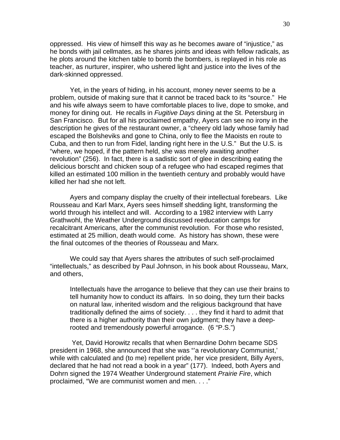oppressed. His view of himself this way as he becomes aware of "injustice," as he bonds with jail cellmates, as he shares joints and ideas with fellow radicals, as he plots around the kitchen table to bomb the bombers, is replayed in his role as teacher, as nurturer, inspirer, who ushered light and justice into the lives of the dark-skinned oppressed.

 Yet, in the years of hiding, in his account, money never seems to be a problem, outside of making sure that it cannot be traced back to its "source." He and his wife always seem to have comfortable places to live, dope to smoke, and money for dining out. He recalls in *Fugitive Days* dining at the St. Petersburg in San Francisco. But for all his proclaimed empathy, Ayers can see no irony in the description he gives of the restaurant owner, a "cheery old lady whose family had escaped the Bolsheviks and gone to China, only to flee the Maoists en route to Cuba, and then to run from Fidel, landing right here in the U.S." But the U.S. is "where, we hoped, if the pattern held, she was merely awaiting another revolution" (256). In fact, there is a sadistic sort of glee in describing eating the delicious borscht and chicken soup of a refugee who had escaped regimes that killed an estimated 100 million in the twentieth century and probably would have killed her had she not left.

Ayers and company display the cruelty of their intellectual forebears. Like Rousseau and Karl Marx, Ayers sees himself shedding light, transforming the world through his intellect and will. According to a 1982 interview with Larry Grathwohl, the Weather Underground discussed reeducation camps for recalcitrant Americans, after the communist revolution. For those who resisted, estimated at 25 million, death would come. As history has shown, these were the final outcomes of the theories of Rousseau and Marx.

We could say that Ayers shares the attributes of such self-proclaimed "intellectuals," as described by Paul Johnson, in his book about Rousseau, Marx, and others,

Intellectuals have the arrogance to believe that they can use their brains to tell humanity how to conduct its affairs. In so doing, they turn their backs on natural law, inherited wisdom and the religious background that have traditionally defined the aims of society. . . . they find it hard to admit that there is a higher authority than their own judgment; they have a deeprooted and tremendously powerful arrogance. (6 "P.S.")

 Yet, David Horowitz recalls that when Bernardine Dohrn became SDS president in 1968, she announced that she was "'a revolutionary Communist,' while with calculated and (to me) repellent pride, her vice president, Billy Ayers, declared that he had not read a book in a year" (177). Indeed, both Ayers and Dohrn signed the 1974 Weather Underground statement *Prairie Fire*, which proclaimed, "We are communist women and men. . . ."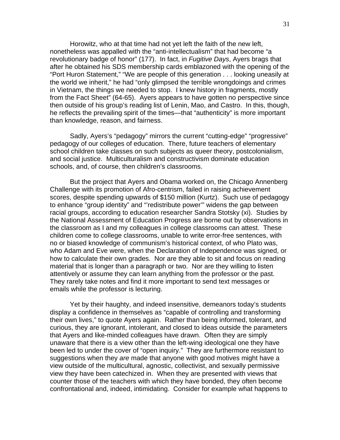Horowitz, who at that time had not yet left the faith of the new left, nonetheless was appalled with the "anti-intellectualism" that had become "a revolutionary badge of honor" (177). In fact, in *Fugitive Days*, Ayers brags that after he obtained his SDS membership cards emblazoned with the opening of the "Port Huron Statement," "We are people of this generation . . . looking uneasily at the world we inherit," he had "only glimpsed the terrible wrongdoings and crimes in Vietnam, the things we needed to stop. I knew history in fragments, mostly from the Fact Sheet" (64-65). Ayers appears to have gotten no perspective since then outside of his group's reading list of Lenin, Mao, and Castro. In this, though, he reflects the prevailing spirit of the times—that "authenticity" is more important than knowledge, reason, and fairness.

 Sadly, Ayers's "pedagogy" mirrors the current "cutting-edge" "progressive" pedagogy of our colleges of education. There, future teachers of elementary school children take classes on such subjects as queer theory, postcolonialism, and social justice. Multiculturalism and constructivism dominate education schools, and, of course, then children's classrooms.

 But the project that Ayers and Obama worked on, the Chicago Annenberg Challenge with its promotion of Afro-centrism, failed in raising achievement scores, despite spending upwards of \$150 million (Kurtz). Such use of pedagogy to enhance "group identity" and "'redistribute power'" widens the gap between racial groups, according to education researcher Sandra Stotsky (xi). Studies by the National Assessment of Education Progress are borne out by observations in the classroom as I and my colleagues in college classrooms can attest. These children come to college classrooms, unable to write error-free sentences, with no or biased knowledge of communism's historical context, of who Plato was, who Adam and Eve were, when the Declaration of Independence was signed, or how to calculate their own grades. Nor are they able to sit and focus on reading material that is longer than a paragraph or two. Nor are they willing to listen attentively or assume they can learn anything from the professor or the past. They rarely take notes and find it more important to send text messages or emails while the professor is lecturing.

Yet by their haughty, and indeed insensitive, demeanors today's students display a confidence in themselves as "capable of controlling and transforming their own lives," to quote Ayers again. Rather than being informed, tolerant, and curious, they are ignorant, intolerant, and closed to ideas outside the parameters that Ayers and like-minded colleagues have drawn. Often they are simply unaware that there is a view other than the left-wing ideological one they have been led to under the cover of "open inquiry." They are furthermore resistant to suggestions when they *are* made that anyone with good motives might have a view outside of the multicultural, agnostic, collectivist, and sexually permissive view they have been catechized in. When they are presented with views that counter those of the teachers with which they have bonded, they often become confrontational and, indeed, intimidating. Consider for example what happens to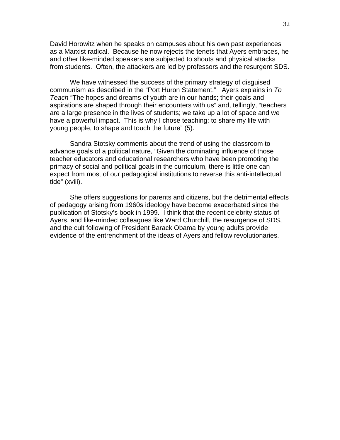David Horowitz when he speaks on campuses about his own past experiences as a Marxist radical. Because he now rejects the tenets that Ayers embraces, he and other like-minded speakers are subjected to shouts and physical attacks from students. Often, the attackers are led by professors and the resurgent SDS.

We have witnessed the success of the primary strategy of disguised communism as described in the "Port Huron Statement." Ayers explains in *To Teach* "The hopes and dreams of youth are in our hands; their goals and aspirations are shaped through their encounters with us" and, tellingly, "teachers are a large presence in the lives of students; we take up a lot of space and we have a powerful impact. This is why I chose teaching: to share my life with young people, to shape and touch the future" (5).

Sandra Stotsky comments about the trend of using the classroom to advance goals of a political nature, "Given the dominating influence of those teacher educators and educational researchers who have been promoting the primacy of social and political goals in the curriculum, there is little one can expect from most of our pedagogical institutions to reverse this anti-intellectual tide" (xviii).

She offers suggestions for parents and citizens, but the detrimental effects of pedagogy arising from 1960s ideology have become exacerbated since the publication of Stotsky's book in 1999. I think that the recent celebrity status of Ayers, and like-minded colleagues like Ward Churchill, the resurgence of SDS, and the cult following of President Barack Obama by young adults provide evidence of the entrenchment of the ideas of Ayers and fellow revolutionaries.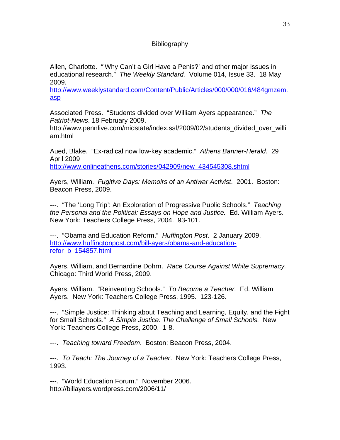# **Bibliography**

Allen, Charlotte. "'Why Can't a Girl Have a Penis?' and other major issues in educational research." *The Weekly Standard.* Volume 014, Issue 33. 18 May 2009.

http://www.weeklystandard.com/Content/Public/Articles/000/000/016/484gmzem. asp

Associated Press. "Students divided over William Ayers appearance." *The Patriot-News*. 18 February 2009.

http://www.pennlive.com/midstate/index.ssf/2009/02/students\_divided\_over\_willi am.html

Aued, Blake. "Ex-radical now low-key academic." *Athens Banner-Herald*. 29 April 2009

http://www.onlineathens.com/stories/042909/new\_434545308.shtml

Ayers, William. *Fugitive Days: Memoirs of an Antiwar Activist*. 2001. Boston: Beacon Press, 2009.

---. "The 'Long Trip': An Exploration of Progressive Public Schools." *Teaching the Personal and the Political: Essays on Hope and Justice.* Ed. William Ayers. New York: Teachers College Press, 2004. 93-101.

---. "Obama and Education Reform." *Huffington Post*. 2 January 2009. http://www.huffingtonpost.com/bill-ayers/obama-and-educationrefor\_b\_154857.html

Ayers, William, and Bernardine Dohrn. *Race Course Against White Supremacy.*  Chicago: Third World Press, 2009.

Ayers, William. "Reinventing Schools." *To Become a Teacher.* Ed. William Ayers. New York: Teachers College Press, 1995. 123-126.

---. "Simple Justice: Thinking about Teaching and Learning, Equity, and the Fight for Small Schools." *A Simple Justice: The Challenge of Small Schools.* New York: Teachers College Press, 2000. 1-8.

---. *Teaching toward Freedom*. Boston: Beacon Press, 2004.

---. *To Teach: The Journey of a Teacher*. New York: Teachers College Press, 1993.

---. "World Education Forum." November 2006. http://billayers.wordpress.com/2006/11/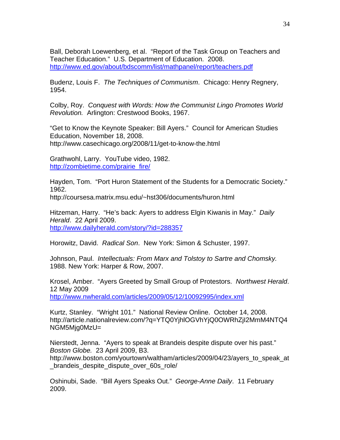Ball, Deborah Loewenberg, et al. "Report of the Task Group on Teachers and Teacher Education." U.S. Department of Education. 2008. http://www.ed.gov/about/bdscomm/list/mathpanel/report/teachers.pdf

Budenz, Louis F. *The Techniques of Communism*. Chicago: Henry Regnery, 1954.

Colby, Roy. *Conquest with Words: How the Communist Lingo Promotes World Revolution.* Arlington: Crestwood Books, 1967.

"Get to Know the Keynote Speaker: Bill Ayers." Council for American Studies Education, November 18, 2008. http://www.casechicago.org/2008/11/get-to-know-the.html

Grathwohl, Larry. YouTube video, 1982. http://zombietime.com/prairie\_fire/

Hayden, Tom. "Port Huron Statement of the Students for a Democratic Society." 1962.

http://coursesa.matrix.msu.edu/~hst306/documents/huron.html

Hitzeman, Harry. "He's back: Ayers to address Elgin Kiwanis in May." *Daily Herald*. 22 April 2009. http://www.dailyherald.com/story/?id=288357

Horowitz, David. *Radical Son*. New York: Simon & Schuster, 1997.

Johnson, Paul. *Intellectuals: From Marx and Tolstoy to Sartre and Chomsky.* 1988. New York: Harper & Row, 2007.

Krosel, Amber. "Ayers Greeted by Small Group of Protestors. *Northwest Herald*. 12 May 2009 http://www.nwherald.com/articles/2009/05/12/10092995/index.xml

Kurtz, Stanley. "Wright 101." National Review Online. October 14, 2008. http://article.nationalreview.com/?q=YTQ0YjhlOGVhYjQ0OWRhZjI2MmM4NTQ4 NGM5Mjg0MzU=

Nierstedt, Jenna. "Ayers to speak at Brandeis despite dispute over his past." *Boston Globe.* 23 April 2009, B3.

http://www.boston.com/yourtown/waltham/articles/2009/04/23/ayers\_to\_speak\_at \_brandeis\_despite\_dispute\_over\_60s\_role/

Oshinubi, Sade. "Bill Ayers Speaks Out." *George-Anne Daily*. 11 February 2009.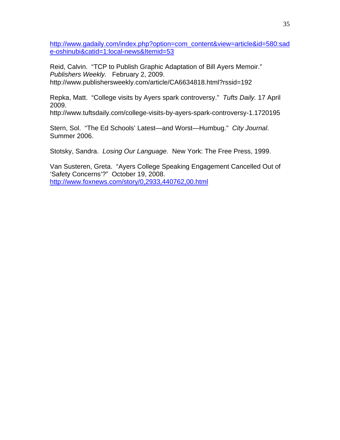http://www.gadaily.com/index.php?option=com\_content&view=article&id=580:sad e-oshinubi&catid=1:local-news&Itemid=53

Reid, Calvin. "TCP to Publish Graphic Adaptation of Bill Ayers Memoir." *Publishers Weekly.* February 2, 2009. http://www.publishersweekly.com/article/CA6634818.html?rssid=192

Repka, Matt. "College visits by Ayers spark controversy." *Tufts Daily.* 17 April 2009.

http://www.tuftsdaily.com/college-visits-by-ayers-spark-controversy-1.1720195

Stern, Sol. "The Ed Schools' Latest—and Worst—Humbug." *City Journal*. Summer 2006.

Stotsky, Sandra. *Losing Our Language.* New York: The Free Press, 1999.

Van Susteren, Greta. "Ayers College Speaking Engagement Cancelled Out of 'Safety Concerns'?" October 19, 2008. http://www.foxnews.com/story/0,2933,440762,00.html